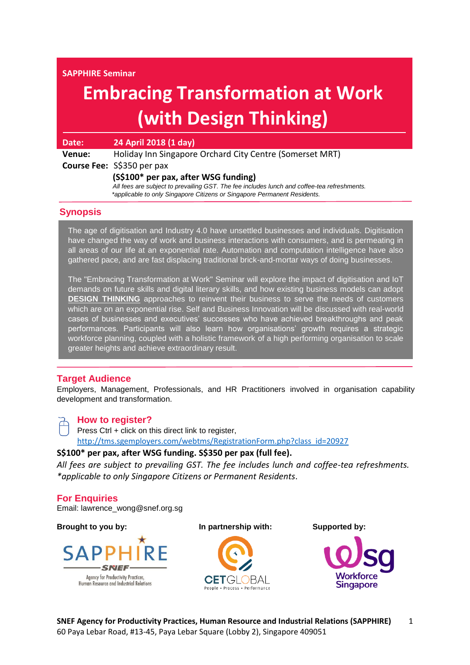**SAPPHIRE Seminar** 

# **Embracing Transformation at Work (with Design Thinking)**

| Date:  | 24 April 2018 (1 day)                                                                       |
|--------|---------------------------------------------------------------------------------------------|
| Venue: | Holiday Inn Singapore Orchard City Centre (Somerset MRT)                                    |
|        | Course Fee: S\$350 per pax                                                                  |
|        | (S\$100* per pax, after WSG funding)                                                        |
|        | All fees are subject to prevailing GST. The fee includes lunch and coffee-tea refreshments. |
|        | *applicable to only Singapore Citizens or Singapore Permanent Residents.                    |

#### **Synopsis**

The age of digitisation and Industry 4.0 have unsettled businesses and individuals. Digitisation have changed the way of work and business interactions with consumers, and is permeating in all areas of our life at an exponential rate. Automation and computation intelligence have also gathered pace, and are fast displacing traditional brick-and-mortar ways of doing businesses.

The "Embracing Transformation at Work" Seminar will explore the impact of digitisation and IoT demands on future skills and digital literary skills, and how existing business models can adopt **DESIGN THINKING** approaches to reinvent their business to serve the needs of customers which are on an exponential rise. Self and Business Innovation will be discussed with real-world cases of businesses and executives' successes who have achieved breakthroughs and peak performances. Participants will also learn how organisations' growth requires a strategic workforce planning, coupled with a holistic framework of a high performing organisation to scale greater heights and achieve extraordinary result.

#### **Target Audience**

Employers, Management, Professionals, and HR Practitioners involved in organisation capability development and transformation.

**How to register?**

Press Ctrl + click on this direct link to register, [http://tms.sgemployers.com/webtms/RegistrationForm.php?class\\_id=20927](http://tms.sgemployers.com/webtms/RegistrationForm.php?class_id=20927)

## **S\$100\* per pax, after WSG funding. S\$350 per pax (full fee).**

*All fees are subject to prevailing GST. The fee includes lunch and coffee-tea refreshments. \*applicable to only Singapore Citizens or Permanent Residents*.

**For Enquiries** Email: lawrence\_wong@snef.org.sg

**Brought to you by: In partnership with: Supported by:** 





**Singapore**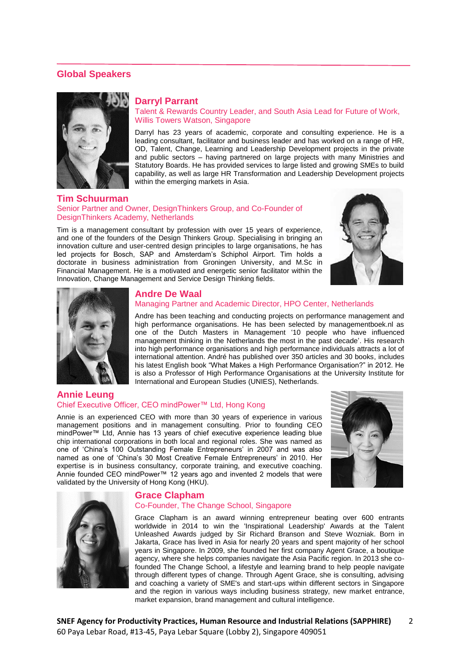#### **Global Speakers**



#### **Darryl Parrant**

Talent & Rewards Country Leader, and South Asia Lead for Future of Work, Willis Towers Watson, Singapore

Darryl has 23 years of academic, corporate and consulting experience. He is a leading consultant, facilitator and business leader and has worked on a range of HR, OD, Talent, Change, Learning and Leadership Development projects in the private and public sectors – having partnered on large projects with many Ministries and Statutory Boards. He has provided services to large listed and growing SMEs to build capability, as well as large HR Transformation and Leadership Development projects within the emerging markets in Asia.

#### **Tim Schuurman**  Senior Partner and Owner, DesignThinkers Group, and Co-Founder of DesignThinkers Academy, Netherlands

Tim is a management consultant by profession with over 15 years of experience, and one of the founders of the Design Thinkers Group. Specialising in bringing an innovation culture and user-centred design principles to large organisations, he has led projects for Bosch, SAP and Amsterdam's Schiphol Airport. Tim holds a doctorate in business administration from Groningen University, and M.Sc in Financial Management. He is a motivated and energetic senior facilitator within the Innovation, Change Management and Service Design Thinking fields.





#### **Andre De Waal**

#### Managing Partner and Academic Director, HPO Center, Netherlands

Andre has been teaching and conducting projects on performance management and high performance organisations. He has been selected by managementboek.nl as one of the Dutch Masters in Management '10 people who have influenced management thinking in the Netherlands the most in the past decade'. His research into high performance organisations and high performance individuals attracts a lot of international attention. André has published over 350 articles and 30 books, includes his latest English book "What Makes a High Performance Organisation?" in 2012. He is also a Professor of High Performance Organisations at the University Institute for International and European Studies (UNIES), Netherlands.

#### **Annie Leung** Chief Executive Officer, CEO mindPower™ Ltd, Hong Kong

Annie is an experienced CEO with more than 30 years of experience in various management positions and in management consulting. Prior to founding CEO mindPower™ Ltd, Annie has 13 years of chief executive experience leading blue chip international corporations in both local and regional roles. She was named as one of 'China's 100 Outstanding Female Entrepreneurs' in 2007 and was also named as one of 'China's 30 Most Creative Female Entrepreneurs' in 2010. Her expertise is in business consultancy, corporate training, and executive coaching. Annie founded CEO mindPower™ 12 years ago and invented 2 models that were validated by the University of Hong Kong (HKU).





# **Grace Clapham**

#### Co-Founder, The Change School, Singapore

Grace Clapham is an award winning entrepreneur beating over 600 entrants worldwide in 2014 to win the 'Inspirational Leadership' Awards at the Talent Unleashed Awards judged by Sir Richard Branson and Steve Wozniak. Born in Jakarta, Grace has lived in Asia for nearly 20 years and spent majority of her school years in Singapore. In 2009, she founded her first company Agent Grace, a boutique agency, where she helps companies navigate the Asia Pacific region. In 2013 she cofounded The Change School, a lifestyle and learning brand to help people navigate through different types of change. Through Agent Grace, she is consulting, advising and coaching a variety of SME's and start-ups within different sectors in Singapore and the region in various ways including business strategy, new market entrance, market expansion, brand management and cultural intelligence.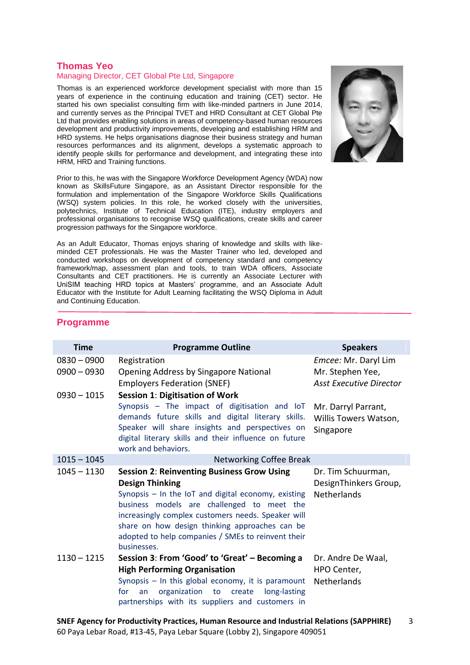### **Thomas Yeo**

#### Managing Director, CET Global Pte Ltd, Singapore

Thomas is an experienced workforce development specialist with more than 15 years of experience in the continuing education and training (CET) sector. He started his own specialist consulting firm with like-minded partners in June 2014, and currently serves as the Principal TVET and HRD Consultant at CET Global Pte Ltd that provides enabling solutions in areas of competency-based human resources development and productivity improvements, developing and establishing HRM and HRD systems. He helps organisations diagnose their business strategy and human resources performances and its alignment, develops a systematic approach to identify people skills for performance and development, and integrating these into HRM, HRD and Training functions.

Prior to this, he was with the Singapore Workforce Development Agency (WDA) now known as SkillsFuture Singapore, as an Assistant Director responsible for the formulation and implementation of the Singapore Workforce Skills Qualifications (WSQ) system policies. In this role, he worked closely with the universities, polytechnics, Institute of Technical Education (ITE), industry employers and professional organisations to recognise WSQ qualifications, create skills and career progression pathways for the Singapore workforce.

As an Adult Educator, Thomas enjoys sharing of knowledge and skills with likeminded CET professionals. He was the Master Trainer who led, developed and conducted workshops on development of competency standard and competency framework/map, assessment plan and tools, to train WDA officers, Associate Consultants and CET practitioners. He is currently an Associate Lecturer with UniSIM teaching HRD topics at Masters' programme, and an Associate Adult Educator with the Institute for Adult Learning facilitating the WSQ Diploma in Adult and Continuing Education.



#### **Time Programme Outline Speakers** 0830 – 0900 Registration *Emcee:* Mr. Daryl Lim 0900 – 0930 Opening Address by Singapore National Employers Federation (SNEF) Mr. Stephen Yee, *Asst Executive Director* 0930 – 1015 **Session 1**: **Digitisation of Work** Synopsis – The impact of digitisation and IoT demands future skills and digital literary skills. Speaker will share insights and perspectives on digital literary skills and their influence on future work and behaviors. Mr. Darryl Parrant, Willis Towers Watson, Singapore 1015 – 1045 Networking Coffee Break 1045 – 1130 **Session 2**: **Reinventing Business Grow Using Design Thinking** Synopsis – In the IoT and digital economy, existing business models are challenged to meet the increasingly complex customers needs. Speaker will share on how design thinking approaches can be adopted to help companies / SMEs to reinvent their businesses. Dr. Tim Schuurman, DesignThinkers Group, Netherlands 1130 – 1215 **Session 3**: **From 'Good' to 'Great' – Becoming a High Performing Organisation** Synopsis – In this global economy, it is paramount for an organization to create long-lasting partnerships with its suppliers and customers in Dr. Andre De Waal, HPO Center, Netherlands

# **Programme**